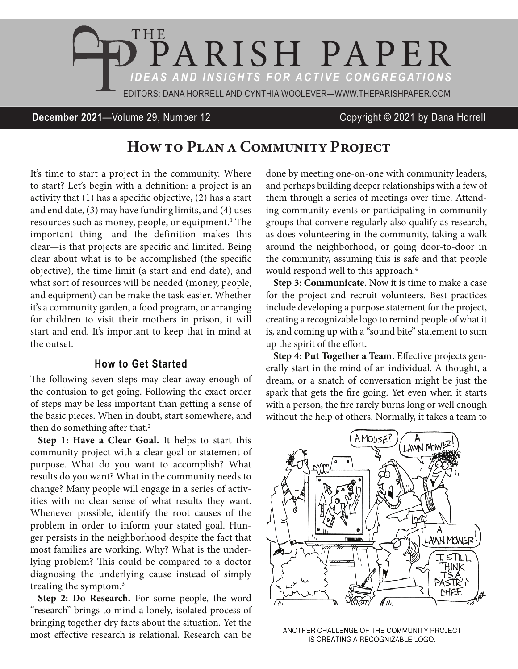

**December 2021**—Volume 29, Number 12 Copyright © 2021 by Dana Horrell

## How to PLAN A COMMUNITY PROJECT

It's time to start a project in the community. Where to start? Let's begin with a definition: a project is an activity that (1) has a specific objective, (2) has a start and end date, (3) may have funding limits, and (4) uses resources such as money, people, or equipment.<sup>1</sup> The important thing—and the definition makes this clear—is that projects are specific and limited. Being clear about what is to be accomplished (the specific objective), the time limit (a start and end date), and what sort of resources will be needed (money, people, and equipment) can be make the task easier. Whether it's a community garden, a food program, or arranging for children to visit their mothers in prison, it will start and end. It's important to keep that in mind at the outset.

## **How to Get Started**

The following seven steps may clear away enough of the confusion to get going. Following the exact order of steps may be less important than getting a sense of the basic pieces. When in doubt, start somewhere, and then do something after that.<sup>2</sup>

**Step 1: Have a Clear Goal.** It helps to start this community project with a clear goal or statement of purpose. What do you want to accomplish? What results do you want? What in the community needs to change? Many people will engage in a series of activities with no clear sense of what results they want. Whenever possible, identify the root causes of the problem in order to inform your stated goal. Hunger persists in the neighborhood despite the fact that most families are working. Why? What is the underlying problem? This could be compared to a doctor diagnosing the underlying cause instead of simply treating the symptom.3

**Step 2: Do Research.** For some people, the word "research" brings to mind a lonely, isolated process of bringing together dry facts about the situation. Yet the most effective research is relational. Research can be done by meeting one-on-one with community leaders, and perhaps building deeper relationships with a few of them through a series of meetings over time. Attending community events or participating in community groups that convene regularly also qualify as research, as does volunteering in the community, taking a walk around the neighborhood, or going door-to-door in the community, assuming this is safe and that people would respond well to this approach.<sup>4</sup>

**Step 3: Communicate.** Now it is time to make a case for the project and recruit volunteers. Best practices include developing a purpose statement for the project, creating a recognizable logo to remind people of what it is, and coming up with a "sound bite" statement to sum up the spirit of the effort.

**Step 4: Put Together a Team.** Effective projects generally start in the mind of an individual. A thought, a dream, or a snatch of conversation might be just the spark that gets the fire going. Yet even when it starts with a person, the fire rarely burns long or well enough without the help of others. Normally, it takes a team to



ANOTHER CHALLENGE OF THE COMMUNITY PROJECT IS CREATING A RECOGNIZABLE LOGO.